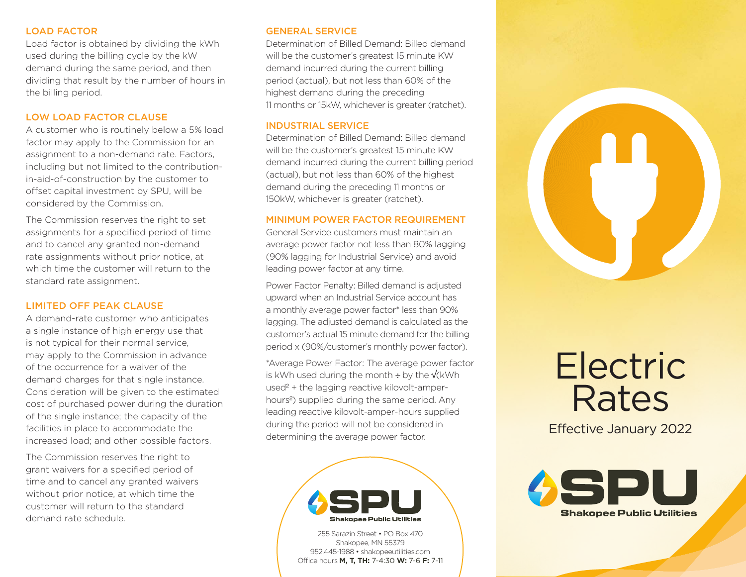# LOAD FACTOR

Load factor is obtained by dividing the kWh used during the billing cycle by the kW demand during the same period, and then dividing that result by the number of hours in the billing period.

# LOW LOAD FACTOR CLAUSE

A customer who is routinely below a 5% load factor may apply to the Commission for an assignment to a non-demand rate. Factors, including but not limited to the contributionin-aid-of-construction by the customer to offset capital investment by SPU, will be considered by the Commission.

The Commission reserves the right to set assignments for a specified period of time and to cancel any granted non-demand rate assignments without prior notice, at which time the customer will return to the standard rate assignment.

## LIMITED OFF PEAK CLAUSE

A demand-rate customer who anticipates a single instance of high energy use that is not typical for their normal service, may apply to the Commission in advance of the occurrence for a waiver of the demand charges for that single instance. Consideration will be given to the estimated cost of purchased power during the duration of the single instance; the capacity of the facilities in place to accommodate the increased load; and other possible factors.

The Commission reserves the right to grant waivers for a specified period of time and to cancel any granted waivers without prior notice, at which time the customer will return to the standard demand rate schedule.

## GENERAL SERVICE

Determination of Billed Demand: Billed demand will be the customer's greatest 15 minute KW demand incurred during the current billing period (actual), but not less than 60% of the highest demand during the preceding 11 months or 15kW, whichever is greater (ratchet).

## INDUSTRIAL SERVICE

Determination of Billed Demand: Billed demand will be the customer's greatest 15 minute KW demand incurred during the current billing period (actual), but not less than 60% of the highest demand during the preceding 11 months or 150kW, whichever is greater (ratchet).

# MINIMUM POWER FACTOR REQUIREMENT

General Service customers must maintain an average power factor not less than 80% lagging (90% lagging for Industrial Service) and avoid leading power factor at any time.

Power Factor Penalty: Billed demand is adjusted upward when an Industrial Service account has a monthly average power factor\* less than 90% lagging. The adjusted demand is calculated as the customer's actual 15 minute demand for the billing period x (90%/customer's monthly power factor).

\*Average Power Factor: The average power factor is kWh used during the month  $\div$  by the √(kWh used² + the lagging reactive kilovolt-amperhours²) supplied during the same period. Any leading reactive kilovolt-amper-hours supplied during the period will not be considered in determining the average power factor.



255 Sarazin Street • PO Box 470 Shakopee, MN 55379 952.445-1988 • shakopeeutilities.com Office hours **M, T, TH:** 7-4:30 **W:** 7-6 **F:** 7-11



Effective January 2022